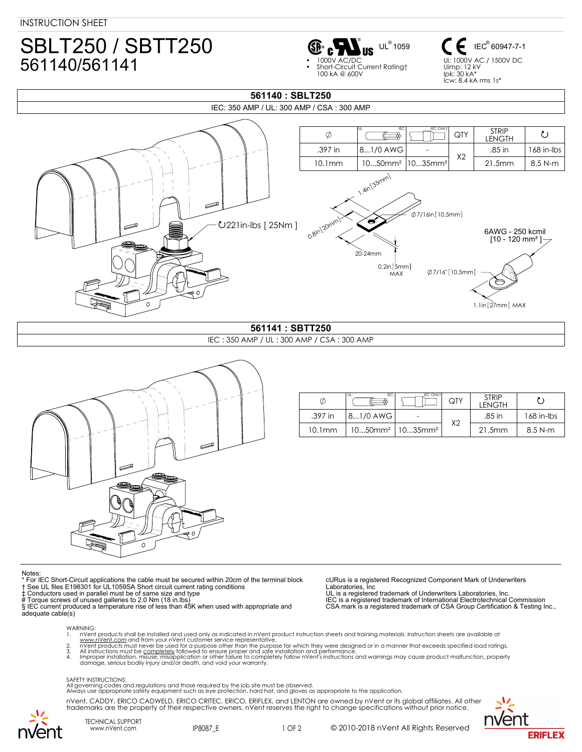## SBLT250 / SBTT250 561140/561141



IEC<sup>®</sup> 60947-7-1 Ui: 1000V AC / 1500V DC Uimp: 12 kV Ipk: 30 kA\* Icw: 8,4 kA rms 1s\*



**561140 : SBLT250**

## IEC : 350 AMP / UL : 300 AMP / CSA : 300 AMP





| ¢       | IEC<br>UL | <b>IEC ONLY</b>                                 | QTY            | <b>STRIP</b><br>LENGTH |            |
|---------|-----------|-------------------------------------------------|----------------|------------------------|------------|
| .397 in | 81/0 AWG  |                                                 | X <sub>2</sub> | .85 in                 | 168 in-Ibs |
| 10.1mm  |           | $1050$ mm <sup>2</sup>   $1035$ mm <sup>2</sup> |                | 21.5mm                 | $8.5$ N-m  |

## Notes

- \* For IEC Short-Circuit applications the cable must be secured within 20cm of the terminal block † See UL files E198301 for UL1059SA Short circuit current rating conditions
	-
- 

‡ Conductors used in parallel must be of same size and type<br># Torque screws of unused galleries to 2.0 Nm (18 in.lbs)<br>§ IEC current produced a temperature rise of less than 45K when used with appropriate and

adequate cable(s)

cURus is a registered Recognized Component Mark of Underwriters Laboratories, Inc

UL is a registered trademark of Underwriters Laboratories, Inc. IEC is a registered trademark of International Electrotechnical Commission CSA mark is a registered trademark of CSA Group Certification & Testing Inc.,

WARNING:<br>1. nVen

- 1. nVent products shall be installed and used only as indicated in nVent product instruction sheets and training materials. Instruction sheets are available at
- www.nVe<u>nt.com</u> and from your nVent customer service representative.<br>2. nVent products must never be used for a purpose other than the purpose for which they were designed or in a manner that exceeds specified load rat
- damage, serious bodily injury and/or death, and void your warranty.

## SAFETY INSTRUCTIONS:

All governing codes and regulations and those required by the job site must be observed. Always use appropriate safety equipment such as eye protection, hard hat, and gloves as appropriate to the application.

nVent, CADDY, ERICO CADWELD, ERICO CRITEC, ERICO, ERIFLEX, and LENTON are owned by nVent or its global affiliates. All other trademarks are the property of their respective owners. nVent reserves the right to change specifications without prior notice.



TECHNICAL SUPPORT

www.nVent.com IP8087\_E 1 OF 2

© 2010-2018 nVent All Rights Reserved